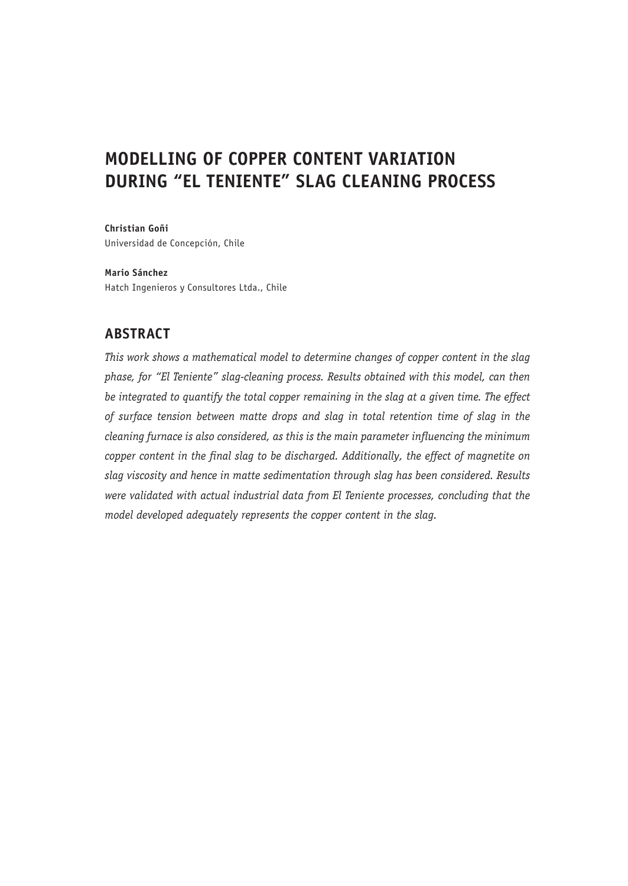# **MODELLING OF COPPER CONTENT VARIATION DURING "EL TENIENTE" SLAG CLEANING PROCESS**

**Christian Goñi** Universidad de Concepción, Chile

**Mario Sánchez** Hatch Ingenieros y Consultores Ltda., Chile

### **ABSTRACT**

*This work shows a mathematical model to determine changes of copper content in the slag phase, for "El Teniente" slag-cleaning process. Results obtained with this model, can then*  be integrated to quantify the total copper remaining in the slag at a given time. The effect *of surface tension between matte drops and slag in total retention time of slag in the cleaning furnace is also considered, as this is the main parameter influencing the minimum copper content in the final slag to be discharged. Additionally, the effect of magnetite on slag viscosity and hence in matte sedimentation through slag has been considered. Results were validated with actual industrial data from El Teniente processes, concluding that the model developed adequately represents the copper content in the slag.*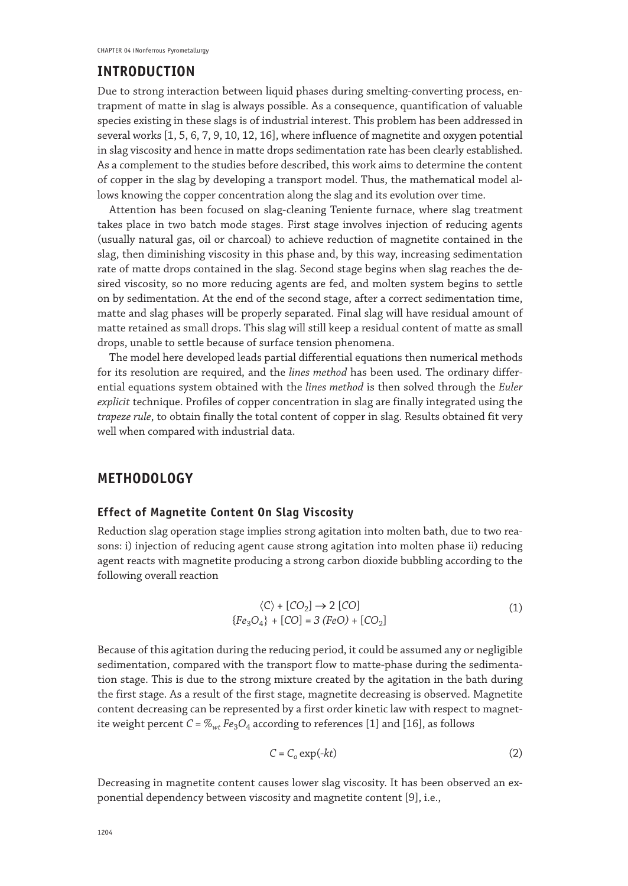### **INTRODUCTION**

Due to strong interaction between liquid phases during smelting-converting process, entrapment of matte in slag is always possible. As a consequence, quantification of valuable species existing in these slags is of industrial interest. This problem has been addressed in several works [1, 5, 6, 7, 9, 10, 12, 16], where influence of magnetite and oxygen potential in slag viscosity and hence in matte drops sedimentation rate has been clearly established. As a complement to the studies before described, this work aims to determine the content of copper in the slag by developing a transport model. Thus, the mathematical model allows knowing the copper concentration along the slag and its evolution over time.

Attention has been focused on slag-cleaning Teniente furnace, where slag treatment takes place in two batch mode stages. First stage involves injection of reducing agents (usually natural gas, oil or charcoal) to achieve reduction of magnetite contained in the slag, then diminishing viscosity in this phase and, by this way, increasing sedimentation rate of matte drops contained in the slag. Second stage begins when slag reaches the desired viscosity, so no more reducing agents are fed, and molten system begins to settle on by sedimentation. At the end of the second stage, after a correct sedimentation time, matte and slag phases will be properly separated. Final slag will have residual amount of matte retained as small drops. This slag will still keep a residual content of matte as small drops, unable to settle because of surface tension phenomena.

The model here developed leads partial differential equations then numerical methods for its resolution are required, and the *lines method* has been used. The ordinary differential equations system obtained with the *lines method* is then solved through the *Euler explicit* technique. Profiles of copper concentration in slag are finally integrated using the *trapeze rule*, to obtain finally the total content of copper in slag. Results obtained fit very well when compared with industrial data.

### **METHODOLOGY**

#### **Effect of Magnetite Content On Slag Viscosity**

Reduction slag operation stage implies strong agitation into molten bath, due to two reasons: i) injection of reducing agent cause strong agitation into molten phase ii) reducing agent reacts with magnetite producing a strong carbon dioxide bubbling according to the following overall reaction

$$
\langle C \rangle + [CO_2] \rightarrow 2 [CO] \{Fe_3O_4\} + [CO] = 3 (FeO) + [CO_2]
$$
\n(1)

Because of this agitation during the reducing period, it could be assumed any or negligible sedimentation, compared with the transport flow to matte-phase during the sedimentation stage. This is due to the strong mixture created by the agitation in the bath during the first stage. As a result of the first stage, magnetite decreasing is observed. Magnetite content decreasing can be represented by a first order kinetic law with respect to magnetite weight percent  $C = \mathcal{R}_{wt} Fe_3O_4$  according to references [1] and [16], as follows

$$
C = C_0 \exp(-kt) \tag{2}
$$

Decreasing in magnetite content causes lower slag viscosity. It has been observed an exponential dependency between viscosity and magnetite content [9], i.e.,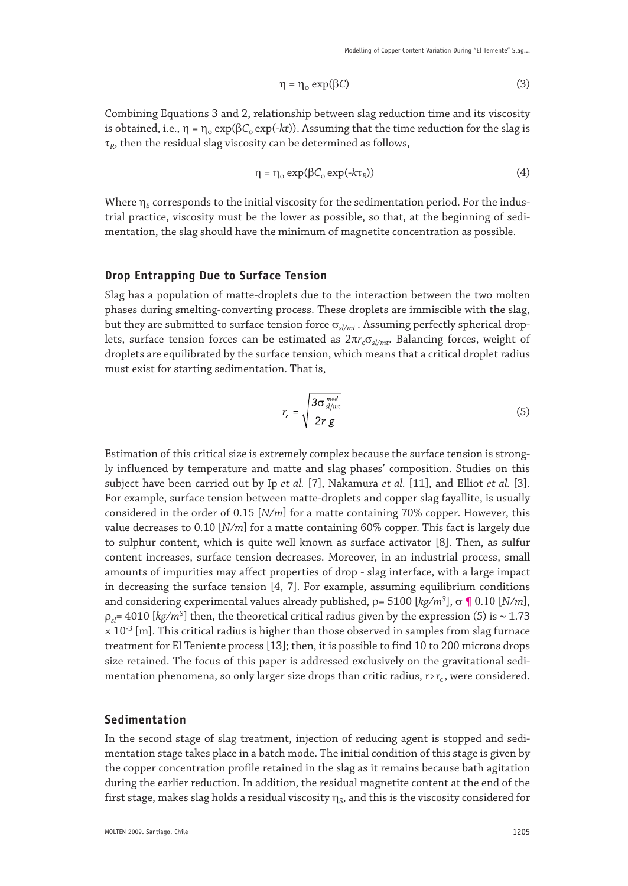$$
\eta = \eta_0 \exp(\beta C) \tag{3}
$$

Combining Equations 3 and 2, relationship between slag reduction time and its viscosity is obtained, i.e.,  $\eta = \eta_0 \exp(\beta C_0 \exp(-kt))$ . Assuming that the time reduction for the slag is τ*R*, then the residual slag viscosity can be determined as follows,

$$
\eta = \eta_{\text{o}} \exp(\beta C_{\text{o}} \exp(-k\tau_R)) \tag{4}
$$

Where  $\eta_s$  corresponds to the initial viscosity for the sedimentation period. For the industrial practice, viscosity must be the lower as possible, so that, at the beginning of sedimentation, the slag should have the minimum of magnetite concentration as possible.

#### **Drop Entrapping Due to Surface Tension**

Slag has a population of matte-droplets due to the interaction between the two molten phases during smelting-converting process. These droplets are immiscible with the slag, but they are submitted to surface tension force σ*sl/mt* . Assuming perfectly spherical droplets, surface tension forces can be estimated as  $2π<sub>r</sub>σ<sub>sl/mt</sub>$ . Balancing forces, weight of droplets are equilibrated by the surface tension, which means that a critical droplet radius must exist for starting sedimentation. That is,

$$
r_c = \sqrt{\frac{3\sigma_{sljmt}^{mod}}{2r\ g}}
$$
 (5)

Estimation of this critical size is extremely complex because the surface tension is strongly influenced by temperature and matte and slag phases' composition. Studies on this subject have been carried out by Ip *et al.* [7], Nakamura *et al.* [11], and Elliot *et al.* [3]. For example, surface tension between matte-droplets and copper slag fayallite, is usually considered in the order of 0.15 [*N/m*] for a matte containing 70% copper. However, this value decreases to 0.10 [*N/m*] for a matte containing 60% copper. This fact is largely due to sulphur content, which is quite well known as surface activator [8]. Then, as sulfur content increases, surface tension decreases. Moreover, in an industrial process, small amounts of impurities may affect properties of drop - slag interface, with a large impact in decreasing the surface tension [4, 7]. For example, assuming equilibrium conditions and considering experimental values already published, ρ= 5100 [*kg/m3*], σ ¶ 0.10 [*N/m*], ρ*sl*= 4010 [*kg/m3*] then, the theoretical critical radius given by the expression (5) is ∼ 1.73  $\times$  10<sup>-3</sup> [m]. This critical radius is higher than those observed in samples from slag furnace treatment for El Teniente process [13]; then, it is possible to find 10 to 200 microns drops size retained. The focus of this paper is addressed exclusively on the gravitational sedimentation phenomena, so only larger size drops than critic radius,  $r>r_c$ , were considered.

#### **Sedimentation**

In the second stage of slag treatment, injection of reducing agent is stopped and sedimentation stage takes place in a batch mode. The initial condition of this stage is given by the copper concentration profile retained in the slag as it remains because bath agitation during the earlier reduction. In addition, the residual magnetite content at the end of the first stage, makes slag holds a residual viscosity  $\eta_s$ , and this is the viscosity considered for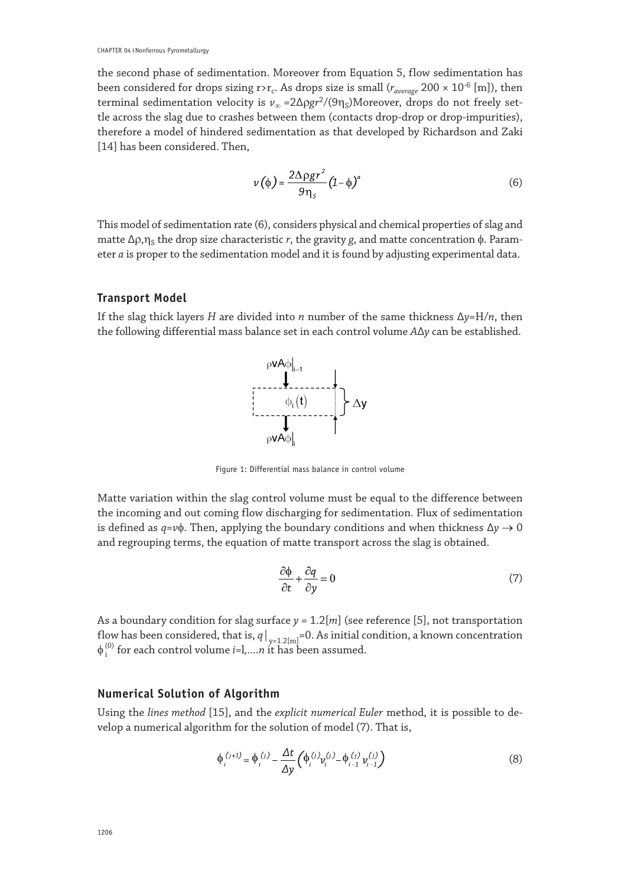the second phase of sedimentation. Moreover from Equation 5, flow sedimentation has been considered for drops sizing  $r>r_c$ . As drops size is small ( $r_{\text{average}}$  200  $\times$  10<sup>-6</sup> [m]), then terminal sedimentation velocity is  $v_{\infty} = 2\Delta\rho g r^2/(9\eta_s)$ Moreover, drops do not freely settle across the slag due to crashes between them (contacts drop-drop or drop-impurities), therefore a model of hindered sedimentation as that developed by Richardson and Zaki [14] has been considered. Then,

$$
v(\phi) = \frac{2\Delta\rho gr^2}{9\eta_s} \left(1 - \phi\right)^a \tag{6}
$$

This model of sedimentation rate (6), considers physical and chemical properties of slag and matte Δρ, η<sub>S</sub> the drop size characteristic *r*, the gravity *g*, and matte concentration φ. Parameter *a* is proper to the sedimentation model and it is found by adjusting experimental data.

#### **Transport Model**

If the slag thick layers *H* are divided into *n* number of the same thickness ∆*y*=H/*n*, then the following differential mass balance set in each control volume *A*∆*y* can be established.



Figure 1: Differential mass balance in control volume

Matte variation within the slag control volume must be equal to the difference between the incoming and out coming flow discharging for sedimentation. Flux of sedimentation is defined as  $q = \nu\phi$ . Then, applying the boundary conditions and when thickness  $\Delta y \rightarrow 0$ and regrouping terms, the equation of matte transport across the slag is obtained.

$$
\frac{\partial \phi}{\partial t} + \frac{\partial q}{\partial y} = 0\tag{7}
$$

As a boundary condition for slag surface  $y = 1.2[m]$  (see reference [5], not transportation flow has been considered, that is,  $q|_{y=1.2[m]}$ =0. As initial condition, a known concentration φ i (0) for each control volume *i=*l*,....n* it has been assumed.

#### **Numerical Solution of Algorithm**

Using the *lines method* [15], and the *explicit numerical Euler* method, it is possible to develop a numerical algorithm for the solution of model (7). That is,

$$
\phi_i^{(j+1)} = \phi_i^{(j)} - \frac{\Delta t}{\Delta y} \left( \phi_i^{(j)} v_i^{(j)} - \phi_{i-1}^{(j)} v_{i-1}^{(j)} \right)
$$
(8)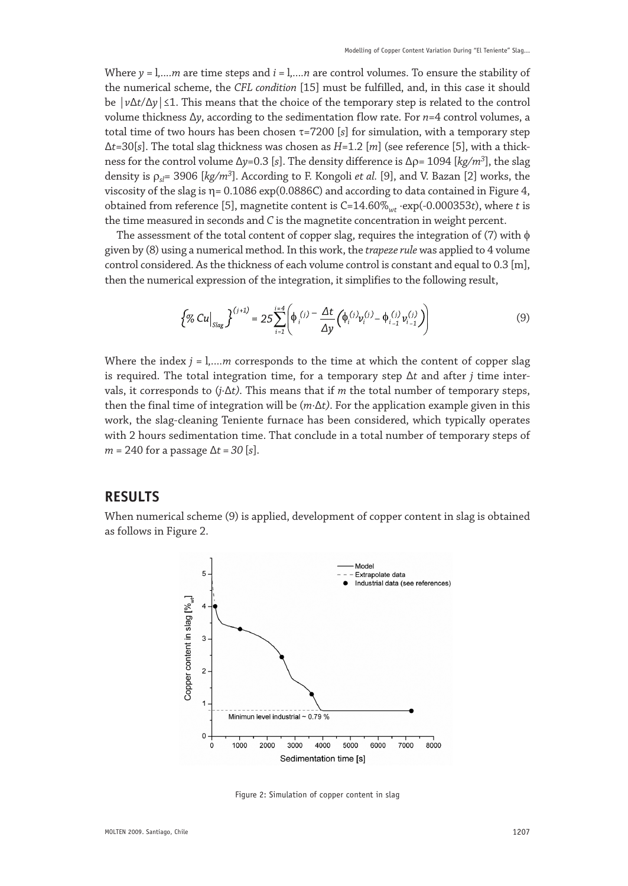Where  $y = 1,...,m$  are time steps and  $i = 1,...,n$  are control volumes. To ensure the stability of the numerical scheme, the *CFL condition* [15] must be fulfilled, and, in this case it should be |*v*∆*t*/∆*y*|≤1. This means that the choice of the temporary step is related to the control volume thickness ∆*y*, according to the sedimentation flow rate. For *n*=4 control volumes, a total time of two hours has been chosen  $\tau$ =7200 [s] for simulation, with a temporary step ∆*t*=30[*s*]. The total slag thickness was chosen as *H*=1.2 [*m*] (see reference [5], with a thickness for the control volume ∆*y*=0.3 [*s*]. The density difference is ∆ρ= 1094 [*kg/m3*], the slag density is ρ*sl*= 3906 [*kg/m3*]. According to F. Kongoli *et al.* [9], and V. Bazan [2] works, the viscosity of the slag is  $\eta = 0.1086 \exp(0.0886C)$  and according to data contained in Figure 4, obtained from reference [5], magnetite content is C=14.60%*wt* .exp(-0.000353*t*), where *t* is the time measured in seconds and *C* is the magnetite concentration in weight percent.

The assessment of the total content of copper slag, requires the integration of (7) with  $\phi$ given by (8) using a numerical method. In this work, the *trapeze rule* was applied to 4 volume control considered. As the thickness of each volume control is constant and equal to 0.3 [m], then the numerical expression of the integration, it simplifies to the following result,

$$
\left\{\mathcal{D}_{\text{c}}\text{Cu}\right\}_{\text{Slag}}\right\}^{(j+1)} = 25\sum_{i=1}^{i=4} \left(\phi_i^{(j)} - \frac{\Delta t}{\Delta y}\left(\phi_i^{(j)}v_i^{(j)} - \phi_{i-1}^{(j)}v_{i-1}^{(j)}\right)\right) \tag{9}
$$

Where the index  $j = 1,...m$  corresponds to the time at which the content of copper slag is required. The total integration time, for a temporary step ∆*t* and after *j* time intervals, it corresponds to (*j*.∆*t)*. This means that if *m* the total number of temporary steps, then the final time of integration will be (*m*.∆*t)*. For the application example given in this work, the slag-cleaning Teniente furnace has been considered, which typically operates with 2 hours sedimentation time. That conclude in a total number of temporary steps of *m* = 240 for a passage ∆*t = 30* [*s*].

### **RESULTS**

When numerical scheme (9) is applied, development of copper content in slag is obtained as follows in Figure 2.



Figure 2: Simulation of copper content in slag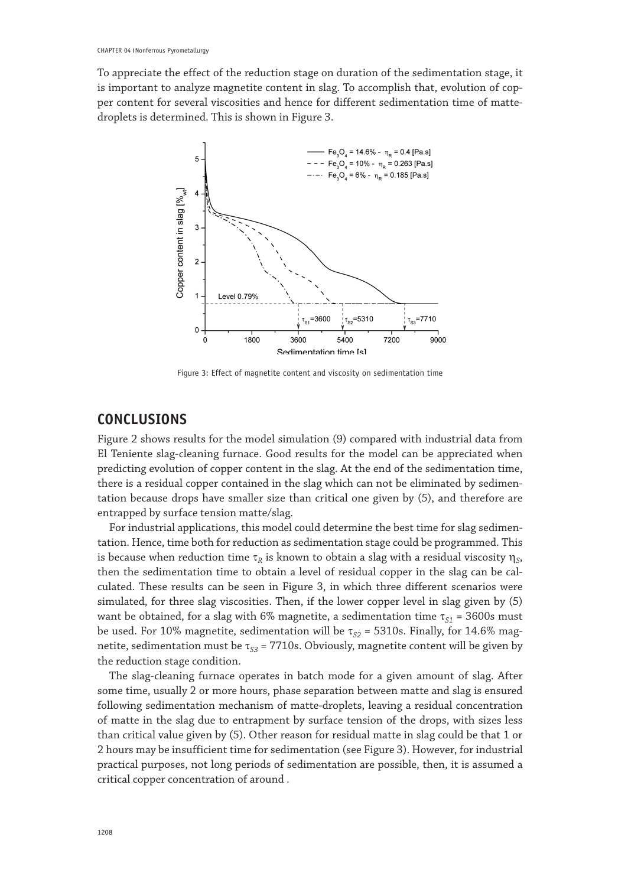To appreciate the effect of the reduction stage on duration of the sedimentation stage, it is important to analyze magnetite content in slag. To accomplish that, evolution of copper content for several viscosities and hence for different sedimentation time of mattedroplets is determined. This is shown in Figure 3.



Figure 3: Effect of magnetite content and viscosity on sedimentation time

### **CONCLUSIONS**

Figure 2 shows results for the model simulation (9) compared with industrial data from El Teniente slag-cleaning furnace. Good results for the model can be appreciated when predicting evolution of copper content in the slag. At the end of the sedimentation time, there is a residual copper contained in the slag which can not be eliminated by sedimentation because drops have smaller size than critical one given by (5), and therefore are entrapped by surface tension matte/slag.

For industrial applications, this model could determine the best time for slag sedimentation. Hence, time both for reduction as sedimentation stage could be programmed. This is because when reduction time  $\tau_R$  is known to obtain a slag with a residual viscosity  $\eta_S$ , then the sedimentation time to obtain a level of residual copper in the slag can be calculated. These results can be seen in Figure 3, in which three different scenarios were simulated, for three slag viscosities. Then, if the lower copper level in slag given by (5) want be obtained, for a slag with 6% magnetite, a sedimentation time  $\tau_{S1}$  = 3600s must be used. For 10% magnetite, sedimentation will be  $\tau_{S2}$  = 5310s. Finally, for 14.6% magnetite, sedimentation must be  $\tau_{S3}$  = 7710s. Obviously, magnetite content will be given by the reduction stage condition.

The slag-cleaning furnace operates in batch mode for a given amount of slag. After some time, usually 2 or more hours, phase separation between matte and slag is ensured following sedimentation mechanism of matte-droplets, leaving a residual concentration of matte in the slag due to entrapment by surface tension of the drops, with sizes less than critical value given by (5). Other reason for residual matte in slag could be that 1 or 2 hours may be insufficient time for sedimentation (see Figure 3). However, for industrial practical purposes, not long periods of sedimentation are possible, then, it is assumed a critical copper concentration of around .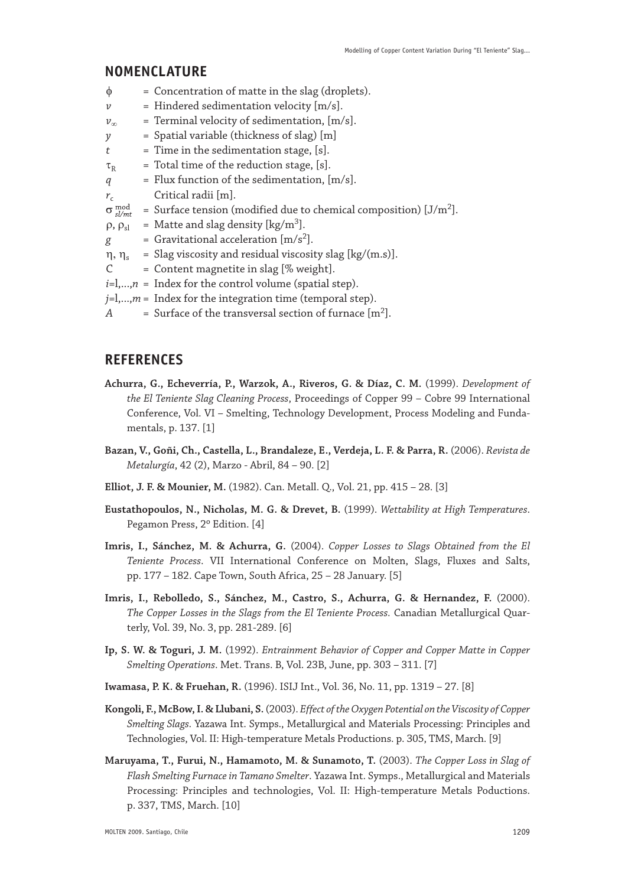#### **NOMENCLATURE**

- $\phi$  = Concentration of matte in the slag (droplets).
- $\nu$  = Hindered sedimentation velocity  $[m/s]$ .
- *v*<sup>∞</sup> = Terminal velocity of sedimentation, [m/s].
- *y* = Spatial variable (thickness of slag) [m]
- $t =$  Time in the sedimentation stage, [s].
- $\tau_R$  = Total time of the reduction stage, [s].
- *q* = Flux function of the sedimentation, [m/s].
	-
- $r_c$  Critical radii [m].<br>  $\sigma_{sl/mt}^{mod}$  = Surface tension ( = Surface tension (modified due to chemical composition)  $[J/m^2]$ .
- ρ,  $ρ_{sl}$  = Matte and slag density [kg/m<sup>3</sup>].
- $g =$  Gravitational acceleration  $[m/s^2]$ .
- $\eta$ ,  $\eta_s$  = Slag viscosity and residual viscosity slag [kg/(m.s)].
- $C =$  Content magnetite in slag [% weight].
- $i=1,...,n$  = Index for the control volume (spatial step).
- $j=1,...,m$  = Index for the integration time (temporal step).
- *A* = Surface of the transversal section of furnace  $[m^2]$ .

### **REFERENCES**

- **Achurra, G., Echeverría, P., Warzok, A., Riveros, G. & Díaz, C. M.** (1999). *Development of the El Teniente Slag Cleaning Process*, Proceedings of Copper 99 – Cobre 99 International Conference, Vol. VI – Smelting, Technology Development, Process Modeling and Fundamentals, p. 137. [1]
- **Bazan, V., Goñi, Ch., Castella, L., Brandaleze, E., Verdeja, L. F. & Parra, R.** (2006). *Revista de Metalurgía*, 42 (2), Marzo - Abril, 84 – 90. [2]
- **Elliot, J. F. & Mounier, M.** (1982). Can. Metall. Q., Vol. 21, pp. 415 28. [3]
- **Eustathopoulos, N., Nicholas, M. G. & Drevet, B.** (1999). *Wettability at High Temperatures*. Pegamon Press, 2º Edition. [4]
- **Imris, I., Sánchez, M. & Achurra, G.** (2004). *Copper Losses to Slags Obtained from the El Teniente Process*. VII International Conference on Molten, Slags, Fluxes and Salts, pp. 177 – 182. Cape Town, South Africa, 25 – 28 January. [5]
- **Imris, I., Rebolledo, S., Sánchez, M., Castro, S., Achurra, G. & Hernandez, F.** (2000). *The Copper Losses in the Slags from the El Teniente Process.* Canadian Metallurgical Quarterly, Vol. 39, No. 3, pp. 281-289. [6]
- **Ip, S. W. & Toguri, J. M.** (1992). *Entrainment Behavior of Copper and Copper Matte in Copper Smelting Operations*. Met. Trans. B, Vol. 23B, June, pp. 303 – 311. [7]
- **Iwamasa, P. K. & Fruehan, R.** (1996). ISIJ Int., Vol. 36, No. 11, pp. 1319 27. [8]
- **Kongoli, F., McBow, I. & Llubani, S.** (2003). *Effect of the Oxygen Potential on the Viscosity of Copper Smelting Slags*. Yazawa Int. Symps., Metallurgical and Materials Processing: Principles and Technologies, Vol. II: High-temperature Metals Productions. p. 305, TMS, March. [9]
- **Maruyama, T., Furui, N., Hamamoto, M. & Sunamoto, T.** (2003). *The Copper Loss in Slag of Flash Smelting Furnace in Tamano Smelter*. Yazawa Int. Symps., Metallurgical and Materials Processing: Principles and technologies, Vol. II: High-temperature Metals Poductions. p. 337, TMS, March. [10]